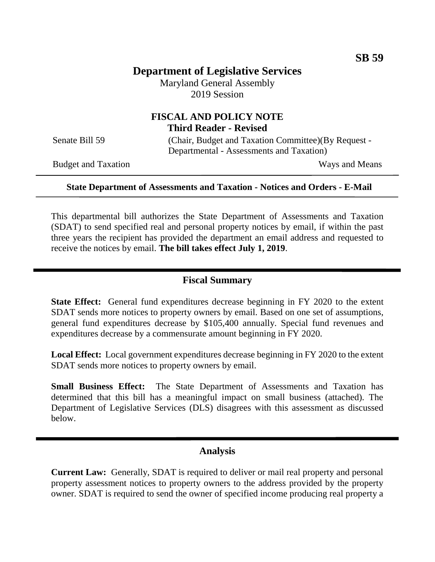# **Department of Legislative Services**

Maryland General Assembly 2019 Session

### **FISCAL AND POLICY NOTE Third Reader - Revised**

Senate Bill 59 (Chair, Budget and Taxation Committee)(By Request -Departmental - Assessments and Taxation)

Budget and Taxation Ways and Means

#### **State Department of Assessments and Taxation - Notices and Orders - E-Mail**

This departmental bill authorizes the State Department of Assessments and Taxation (SDAT) to send specified real and personal property notices by email, if within the past three years the recipient has provided the department an email address and requested to receive the notices by email. **The bill takes effect July 1, 2019**.

#### **Fiscal Summary**

**State Effect:** General fund expenditures decrease beginning in FY 2020 to the extent SDAT sends more notices to property owners by email. Based on one set of assumptions, general fund expenditures decrease by \$105,400 annually. Special fund revenues and expenditures decrease by a commensurate amount beginning in FY 2020.

**Local Effect:** Local government expenditures decrease beginning in FY 2020 to the extent SDAT sends more notices to property owners by email.

**Small Business Effect:** The State Department of Assessments and Taxation has determined that this bill has a meaningful impact on small business (attached). The Department of Legislative Services (DLS) disagrees with this assessment as discussed below.

#### **Analysis**

**Current Law:** Generally, SDAT is required to deliver or mail real property and personal property assessment notices to property owners to the address provided by the property owner. SDAT is required to send the owner of specified income producing real property a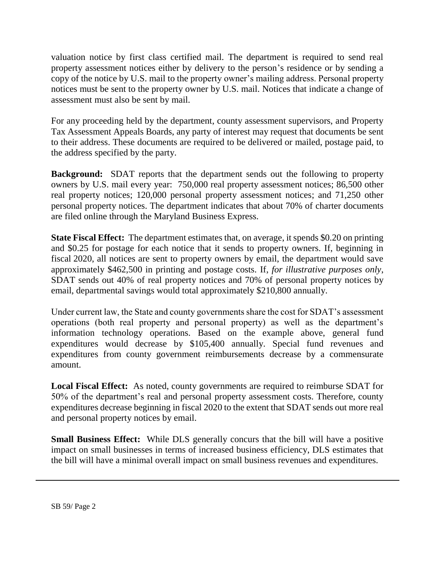valuation notice by first class certified mail. The department is required to send real property assessment notices either by delivery to the person's residence or by sending a copy of the notice by U.S. mail to the property owner's mailing address. Personal property notices must be sent to the property owner by U.S. mail. Notices that indicate a change of assessment must also be sent by mail.

For any proceeding held by the department, county assessment supervisors, and Property Tax Assessment Appeals Boards, any party of interest may request that documents be sent to their address. These documents are required to be delivered or mailed, postage paid, to the address specified by the party.

**Background:** SDAT reports that the department sends out the following to property owners by U.S. mail every year: 750,000 real property assessment notices; 86,500 other real property notices; 120,000 personal property assessment notices; and 71,250 other personal property notices. The department indicates that about 70% of charter documents are filed online through the Maryland Business Express.

**State Fiscal Effect:** The department estimates that, on average, it spends \$0.20 on printing and \$0.25 for postage for each notice that it sends to property owners. If, beginning in fiscal 2020, all notices are sent to property owners by email, the department would save approximately \$462,500 in printing and postage costs. If, *for illustrative purposes only*, SDAT sends out 40% of real property notices and 70% of personal property notices by email, departmental savings would total approximately \$210,800 annually.

Under current law, the State and county governments share the cost for SDAT's assessment operations (both real property and personal property) as well as the department's information technology operations. Based on the example above, general fund expenditures would decrease by \$105,400 annually. Special fund revenues and expenditures from county government reimbursements decrease by a commensurate amount.

**Local Fiscal Effect:** As noted, county governments are required to reimburse SDAT for 50% of the department's real and personal property assessment costs. Therefore, county expenditures decrease beginning in fiscal 2020 to the extent that SDAT sends out more real and personal property notices by email.

**Small Business Effect:** While DLS generally concurs that the bill will have a positive impact on small businesses in terms of increased business efficiency, DLS estimates that the bill will have a minimal overall impact on small business revenues and expenditures.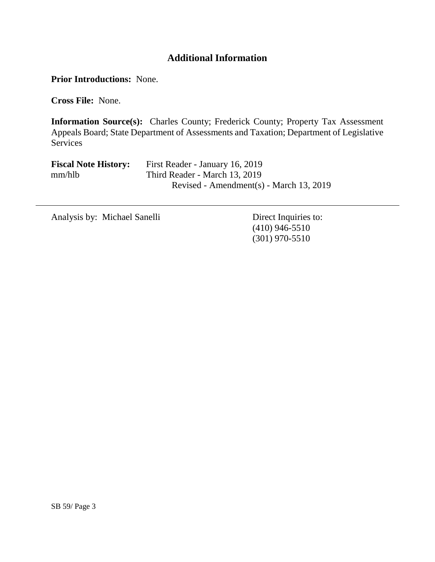## **Additional Information**

**Prior Introductions:** None.

**Cross File:** None.

**Information Source(s):** Charles County; Frederick County; Property Tax Assessment Appeals Board; State Department of Assessments and Taxation; Department of Legislative **Services** 

| <b>Fiscal Note History:</b> | First Reader - January 16, 2019         |
|-----------------------------|-----------------------------------------|
| mm/hlb                      | Third Reader - March 13, 2019           |
|                             | Revised - Amendment(s) - March 13, 2019 |

Analysis by: Michael Sanelli Direct Inquiries to:

(410) 946-5510 (301) 970-5510